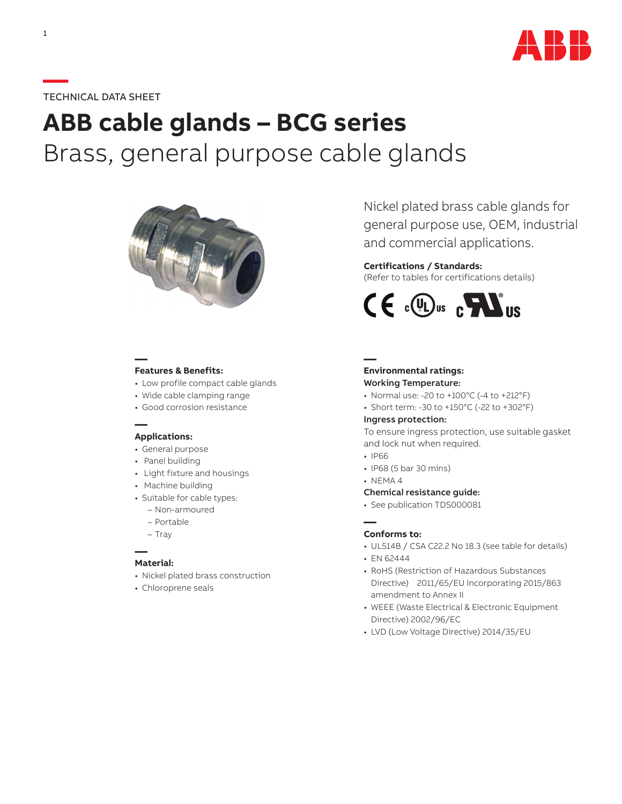

# **—**TECHNICAL DATA SHEET

# **ABB cable glands – BCG series** Brass, general purpose cable glands



## **— Features & Benefits:**

- Low profile compact cable glands
- Wide cable clamping range
- Good corrosion resistance

## **— Applications:**

- General purpose
- Panel building
- Light fixture and housings
- Machine building
- Suitable for cable types:
	- Non-armoured
	- Portable
	- Tray

#### **— Material:**

- Nickel plated brass construction
- Chloroprene seals

Nickel plated brass cable glands for general purpose use, OEM, industrial and commercial applications.

## **Certifications / Standards:**

(Refer to tables for certifications details)



#### **— Environmental ratings:**

## Working Temperature:

- Normal use: -20 to +100°C (-4 to +212°F)
- Short term: -30 to +150°C (-22 to +302°F)

#### Ingress protection:

To ensure ingress protection, use suitable gasket and lock nut when required.

- IP66
- IP68 (5 bar 30 mins)
- NEMA 4

### Chemical resistance guide:

• See publication TDS000081

#### **— Conforms to:**

- UL514B / CSA C22.2 No 18.3 (see table for details)
- EN 62444
- RoHS (Restriction of Hazardous Substances Directive) 2011/65/EU Incorporating 2015/863 amendment to Annex II
- WEEE (Waste Electrical & Electronic Equipment Directive) 2002/96/EC
- LVD (Low Voltage Directive) 2014/35/EU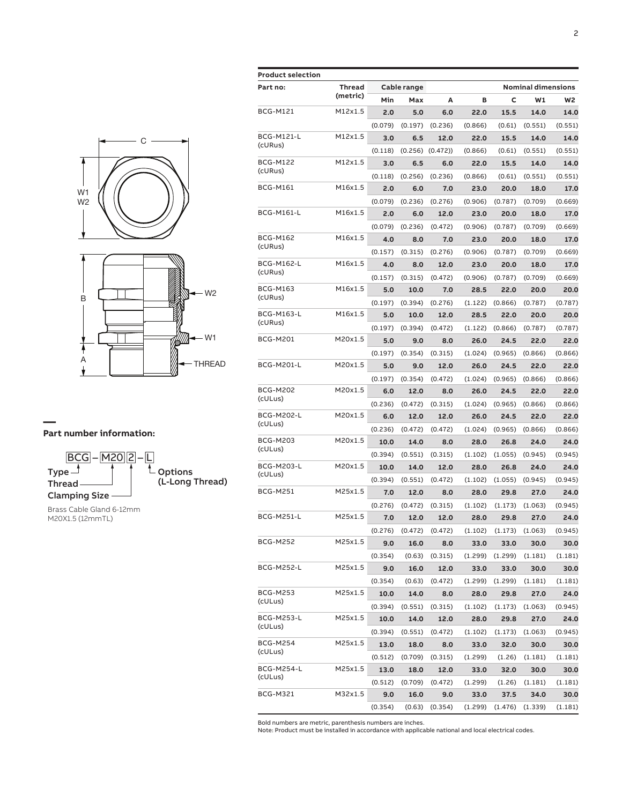



Brass Cable Gland 6-12mm M20X1.5 (12mmTL)

| Product selection            |                    |         |             |         |         |                     |                           |                |
|------------------------------|--------------------|---------|-------------|---------|---------|---------------------|---------------------------|----------------|
| Part no:                     | Thread<br>(metric) |         | Cable range |         |         |                     | <b>Nominal dimensions</b> |                |
|                              |                    | Min     | Max         | A       | в       | c                   | W1                        | W <sub>2</sub> |
| BCG-M121                     | M12x1.5            | 2.0     | 5.0         | 6.0     | 22.0    | 15.5                | 14.0                      | 14.0           |
|                              |                    | (0.079) | (0.197)     | (0.236) | (0.866) | (0.61)              | (0.551)                   | (0.551)        |
| <b>BCG-M121-L</b><br>(cURus) | M12x1.5            | 3.0     | 6.5         | 12.0    | 22.0    | 15.5                | 14.0                      | 14.0           |
|                              |                    | (0.118) | (0.256)     | (0.472) | (0.866) | (0.61)              | (0.551)                   | (0.551)        |
| BCG-M122<br>(cURus)          | M12x1.5            | 3.0     | 6.5         | 6.0     | 22.0    | 15.5                | 14.0                      | 14.0           |
|                              |                    | (0.118) | (0.256)     | (0.236) | (0.866) | (0.61)              | (0.551)                   | (0.551)        |
| BCG-M161                     | M16x1.5            | 2.0     | 6.0         | 7.0     | 23.0    | 20.0                | 18.0                      | 17.0           |
|                              |                    | (0.079) | (0.236)     | (0.276) | (0.906) | (0.787)             | (0.709)                   | (0.669)        |
| BCG-M161-L                   | M16x1.5            | 2.0     | 6.0         | 12.0    | 23.0    | 20.0                | 18.0                      | 17.0           |
|                              |                    | (0.079) | (0.236)     | (0.472) | (0.906) | (0.787)             | (0.709)                   | (0.669)        |
| BCG-M162<br>(cURus)          | M16x1.5            | 4.0     | 8.0         | 7.0     | 23.0    | 20.0                | 18.0                      | 17.0           |
|                              |                    | (0.157) | (0.315)     | (0.276) | (0.906) | (0.787)             | (0.709)                   | (0.669)        |
| BCG-M162-L<br>(cURus)        | M16x1.5            | 4.0     | 8.0         | 12.0    | 23.0    | 20.0                | 18.0                      | 17.0           |
|                              |                    | (0.157) | (0.315)     | (0.472) | (0.906) | (0.787)             | (0.709)                   | (0.669)        |
| BCG-M163<br>(cURus)          | M16x1.5            | 5.0     | 10.0        | 7.0     | 28.5    | 22.0                | 20.0                      | 20.0           |
|                              |                    | (0.197) | (0.394)     | (0.276) | (1.122) | (0.866)             | (0.787)                   | (0.787)        |
| BCG-M163-L<br>(cURus)        | M16x1.5            | 5.0     | 10.0        | 12.0    | 28.5    | 22.0                | 20.0                      | 20.0           |
|                              |                    | (0.197) | (0.394)     | (0.472) | (1.122) | (0.866)             | (0.787)                   | (0.787)        |
| BCG-M201                     | M20x1.5            | 5.0     | 9.0         | 8.0     | 26.0    | 24.5                | 22.0                      | 22.0           |
|                              |                    | (0.197) | (0.354)     | (0.315) | (1.024) | (0.965)             | (0.866)                   | (0.866)        |
| BCG-M201-L                   | M20x1.5            | 5.0     | 9.0         | 12.0    | 26.0    | 24.5                | 22.0                      | 22.0           |
|                              |                    | (0.197) | (0.354)     | (0.472) | (1.024) | (0.965)             | (0.866)                   | (0.866)        |
| BCG-M202<br>(cULus)          | M20x1.5            | 6.0     | 12.0        | 8.0     | 26.0    | 24.5                | 22.0                      | 22.0           |
|                              |                    | (0.236) | (0.472)     | (0.315) | (1.024) | (0.965)             | (0.866)                   | (0.866)        |
| BCG-M202-L<br>(cULus)        | M20x1.5            | 6.0     | 12.0        | 12.0    | 26.0    | 24.5                | 22.0                      | 22.0           |
|                              |                    | (0.236) | (0.472)     | (0.472) | (1.024) | (0.965)             | (0.866)                   | (0.866)        |
| BCG-M203<br>(cULus)          | M20x1.5            | 10.0    | 14.0        | 8.0     | 28.0    | 26.8                | 24.0                      | 24.0           |
|                              |                    | (0.394) | (0.551)     | (0.315) | (1.102) | (1.055)             | (0.945)                   | (0.945)        |
| <b>BCG-M203-L</b><br>(cULus) | M20x1.5            | 10.0    | 14.0        | 12.0    | 28.0    | 26.8                | 24.0                      | 24.0           |
|                              |                    | (0.394) | (0.551)     | (0.472) | (1.102) | (1.055)             | (0.945)                   | (0.945)        |
| BCG-M251                     | M25x1.5            | 7.0     | 12.0        | 8.0     | 28.0    | 29.8                | 27.0                      | 24.0           |
|                              |                    | (0.276) | (0.472)     | (0.315) | (1.102) | (1.173)             | (1.063)                   | (0.945)        |
| BCG-M251-L                   | M25x1.5            | 7.0     | 12.0        | 12.0    | 28.0    | 29.8                | 27.0                      | 24.0           |
|                              |                    | (0.276) | (0.472)     | (0.472) |         | $(1.102)$ $(1.173)$ | (1.063)                   | (0.945)        |
| BCG-M252                     | M25x1.5            | 9.0     | 16.0        | 8.0     | 33.0    | 33.0                | 30.0                      | 30.0           |
|                              |                    | (0.354) | (0.63)      | (0.315) | (1.299) | (1.299)             | (1.181)                   | (1.181)        |
| BCG-M252-L                   | M25x1.5            | 9.0     | 16.0        | 12.0    | 33.0    | 33.0                | 30.0                      | 30.0           |
|                              |                    | (0.354) | (0.63)      | (0.472) | (1.299) | (1.299)             | (1.181)                   | (1.181)        |
| BCG-M253<br>(cULus)          | M25x1.5            | 10.0    | 14.0        | 8.0     | 28.0    | 29.8                | 27.0                      | 24.0           |
|                              |                    | (0.394) | (0.551)     | (0.315) | (1.102) | (1.173)             | (1.063)                   | (0.945)        |
| BCG-M253-L<br>(cULus)        | M25x1.5            | 10.0    | 14.0        | 12.0    | 28.0    | 29.8                | 27.0                      | 24.0           |
|                              |                    | (0.394) | (0.551)     | (0.472) | (1.102) | (1.173)             | (1.063)                   | (0.945)        |
| BCG-M254<br>(cULus)          | M25x1.5            | 13.0    | 18.0        | 8.0     | 33.0    | 32.0                | 30.0                      | 30.0           |
|                              |                    | (0.512) | (0.709)     | (0.315) | (1.299) | (1.26)              | (1.181)                   | (1.181)        |
| BCG-M254-L<br>(cULus)        | M25x1.5            | 13.0    | 18.0        | 12.0    | 33.0    | 32.0                | 30.0                      | 30.0           |
|                              |                    | (0.512) | (0.709)     | (0.472) | (1.299) | (1.26)              | (1.181)                   | (1.181)        |
| BCG-M321                     | M32x1.5            | 9.0     | 16.0        | 9.0     | 33.0    | 37.5                | 34.0                      | 30.0           |
|                              |                    | (0.354) | (0.63)      | (0.354) |         | $(1.299)$ $(1.476)$ | (1.339)                   | (1.181)        |

Bold numbers are metric, parenthesis numbers are inches. Note: Product must be installed in accordance with applicable national and local electrical codes.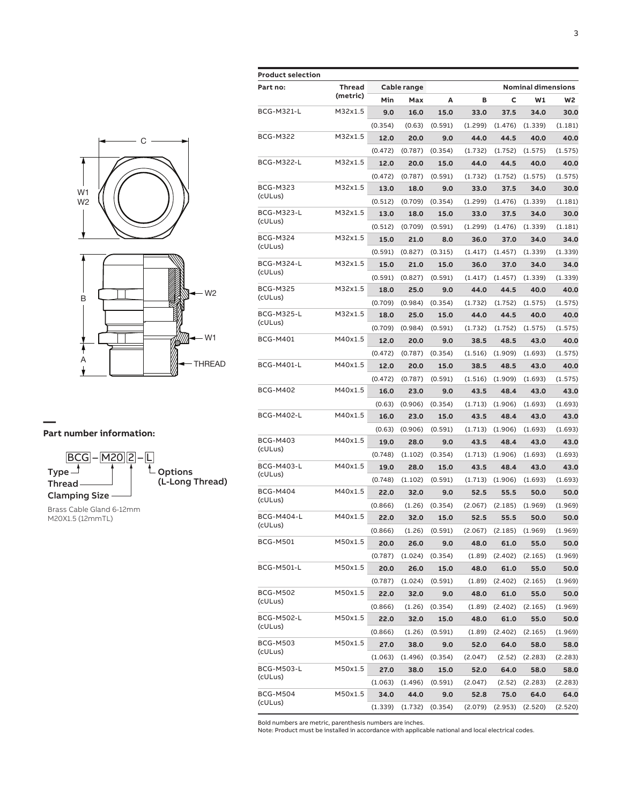

 $\underbrace{\overline{\mathsf{BCG}}}_{\text{Type}} - \underline{\overline{\mathsf{M2O}}}\overline{\mathsf{2}} - \underline{\mathsf{L}}$  $\mathsf{Type} \hspace{1pt}\exists \hspace{15pt} \lceil \hspace{15pt} \lceil \hspace{15pt} \ldots \hspace{15pt} \rceil$   $\mathsf{Toptions}$ (L-Long Thread) Thread Clamping Size

Brass Cable Gland 6-12mm M20X1.5 (12mmTL)

| <b>Product selection</b> |               |         |             |         |         |         |                           |                |
|--------------------------|---------------|---------|-------------|---------|---------|---------|---------------------------|----------------|
| Part no:                 | <b>Thread</b> |         | Cable range |         |         |         | <b>Nominal dimensions</b> |                |
|                          | (metric)      | Min     | Max         | А       | B       | c       | W1                        | W <sub>2</sub> |
| <b>BCG-M321-L</b>        | M32x1.5       | 9.0     | 16.0        | 15.0    | 33.0    | 37.5    | 34.0                      | 30.0           |
|                          |               | (0.354) | (0.63)      | (0.591) | (1.299) | (1.476) | (1.339)                   | (1.181)        |
| <b>BCG-M322</b>          | M32x1.5       | 12.0    | 20.0        | 9.0     | 44.0    | 44.5    | 40.0                      | 40.0           |
|                          |               | (0.472) | (0.787)     | (0.354) | (1.732) | (1.752) | (1.575)                   | (1.575)        |
| <b>BCG-M322-L</b>        | M32x1.5       | 12.0    | 20.0        | 15.0    | 44.0    | 44.5    | 40.0                      | 40.0           |
|                          |               | (0.472) | (0.787)     | (0.591) | (1.732) | (1.752) | (1.575)                   | (1.575)        |
| <b>BCG-M323</b>          | M32x1.5       | 13.0    | 18.0        | 9.0     | 33.0    | 37.5    | 34.0                      | 30.0           |
| (cULus)                  |               | (0.512) | (0.709)     | (0.354) | (1.299) | (1.476) | (1.339)                   | (1.181)        |
| BCG-M323-L               | M32x1.5       | 13.0    | 18.0        | 15.0    | 33.0    | 37.5    | 34.0                      | 30.0           |
| (cULus)                  |               | (0.512) | (0.709)     | (0.591) | (1.299) | (1.476) | (1.339)                   | (1.181)        |
| <b>BCG-M324</b>          | M32x1.5       | 15.0    | 21.0        | 8.0     | 36.0    | 37.0    | 34.0                      | 34.0           |
| (cULus)                  |               | (0.591) | (0.827)     | (0.315) | (1.417) | (1.457) | (1.339)                   | (1.339)        |
| <b>BCG-M324-L</b>        | M32x1.5       | 15.0    | 21.0        | 15.0    | 36.0    | 37.0    | 34.0                      | 34.0           |
| (cULus)                  |               | (0.591) | (0.827)     | (0.591) | (1.417) | (1.457) | (1.339)                   | (1.339)        |
| <b>BCG-M325</b>          | M32x1.5       | 18.0    | 25.0        | 9.0     | 44.0    | 44.5    | 40.0                      | 40.0           |
| (cULus)                  |               | (0.709) | (0.984)     | (0.354) | (1.732) | (1.752) | (1.575)                   | (1.575)        |
| <b>BCG-M325-L</b>        | M32x1.5       | 18.0    | 25.0        | 15.0    | 44.0    | 44.5    | 40.0                      | 40.0           |
| (cULus)                  |               | (0.709) | (0.984)     | (0.591) | (1.732) | (1.752) | (1.575)                   | (1.575)        |
| <b>BCG-M401</b>          | M40x1.5       | 12.0    | 20.0        | 9.0     | 38.5    | 48.5    | 43.0                      | 40.0           |
|                          |               | (0.472) | (0.787)     | (0.354) | (1.516) | (1.909) | (1.693)                   | (1.575)        |
| <b>BCG-M401-L</b>        | M40x1.5       | 12.0    | 20.0        | 15.0    | 38.5    | 48.5    | 43.0                      | 40.0           |
|                          |               | (0.472) | (0.787)     | (0.591) | (1.516) | (1.909) | (1.693)                   | (1.575)        |
| <b>BCG-M402</b>          | M40x1.5       | 16.0    | 23.0        | 9.0     | 43.5    | 48.4    | 43.0                      | 43.0           |
|                          |               | (0.63)  | (0.906)     | (0.354) | (1.713) | (1.906) | (1.693)                   | (1.693)        |
| <b>BCG-M402-L</b>        | M40x1.5       | 16.0    | 23.0        | 15.0    | 43.5    | 48.4    | 43.0                      | 43.0           |
|                          |               | (0.63)  | (0.906)     | (0.591) | (1.713) | (1.906) | (1.693)                   | (1.693)        |
| <b>BCG-M403</b>          | M40x1.5       | 19.0    | 28.0        | 9.0     | 43.5    | 48.4    | 43.0                      | 43.0           |
| (cULus)                  |               | (0.748) | (1.102)     | (0.354) | (1.713) | (1.906) | (1.693)                   | (1.693)        |
| <b>BCG-M403-L</b>        | M40x1.5       | 19.0    | 28.0        | 15.0    | 43.5    | 48.4    | 43.0                      | 43.0           |
| (cULus)                  |               | (0.748) | (1.102)     | (0.591) | (1.713) | (1.906) | (1.693)                   | (1.693)        |
| <b>BCG-M404</b>          | M40x1.5       | 22.0    | 32.0        | 9.0     | 52.5    | 55.5    | 50.0                      | 50.0           |
| (cULus)                  |               | (0.866) | (1.26)      | (0.354) | (2.067) | (2.185) | (1.969)                   | (1.969)        |
| <b>BCG-M404-L</b>        | M40x1.5       | 22.0    | 32.0        | 15.0    | 52.5    | 55.5    | 50.0                      | 50.0           |
| (cULus)                  |               | (0.866) | (1.26)      | (0.591) | (2.067) | (2.185) | (1.969)                   | (1.969)        |
| <b>BCG-M501</b>          | M50x1.5       | 20.0    | 26.0        | 9.0     | 48.0    | 61.0    | 55.0                      | 50.0           |
|                          |               | (0.787) | (1.024)     | (0.354) | (1.89)  | (2.402) | (2.165)                   | (1.969)        |
| BCG-M501-L               | M50x1.5       | 20.0    | 26.0        | 15.0    | 48.0    | 61.0    | 55.0                      | 50.0           |
|                          |               | (0.787) | (1.024)     | (0.591) | (1.89)  | (2.402) | (2.165)                   | (1.969)        |
| <b>BCG-M502</b>          | M50x1.5       | 22.0    | 32.0        | 9.0     | 48.0    | 61.0    | 55.0                      | 50.0           |
| (cULus)                  |               | (0.866) | (1.26)      | (0.354) | (1.89)  | (2.402) | (2.165)                   | (1.969)        |
| <b>BCG-M502-L</b>        | M50x1.5       | 22.0    | 32.0        | 15.0    | 48.0    | 61.0    | 55.0                      | 50.0           |
| (cULus)                  |               | (0.866) | (1.26)      | (0.591) | (1.89)  | (2.402) | (2.165)                   | (1.969)        |
| <b>BCG-M503</b>          | M50x1.5       | 27.0    | 38.0        | 9.0     | 52.0    | 64.0    | 58.0                      | 58.0           |
| (cULus)                  |               | (1.063) | (1.496)     | (0.354) | (2.047) | (2.52)  | (2.283)                   | (2.283)        |
| <b>BCG-M503-L</b>        | M50x1.5       | 27.0    | 38.0        | 15.0    | 52.0    | 64.0    | 58.0                      | 58.0           |
| (cULus)                  |               | (1.063) | (1.496)     | (0.591) | (2.047) | (2.52)  | (2.283)                   | (2.283)        |
| <b>BCG-M504</b>          | M50x1.5       | 34.0    | 44.0        | 9.0     | 52.8    | 75.0    | 64.0                      | 64.0           |
| (cULus)                  |               | (1.339) | (1.732)     | (0.354) | (2.079) | (2.953) | (2.520)                   | (2.520)        |

Bold numbers are metric, parenthesis numbers are inches. Note: Product must be installed in accordance with applicable national and local electrical codes.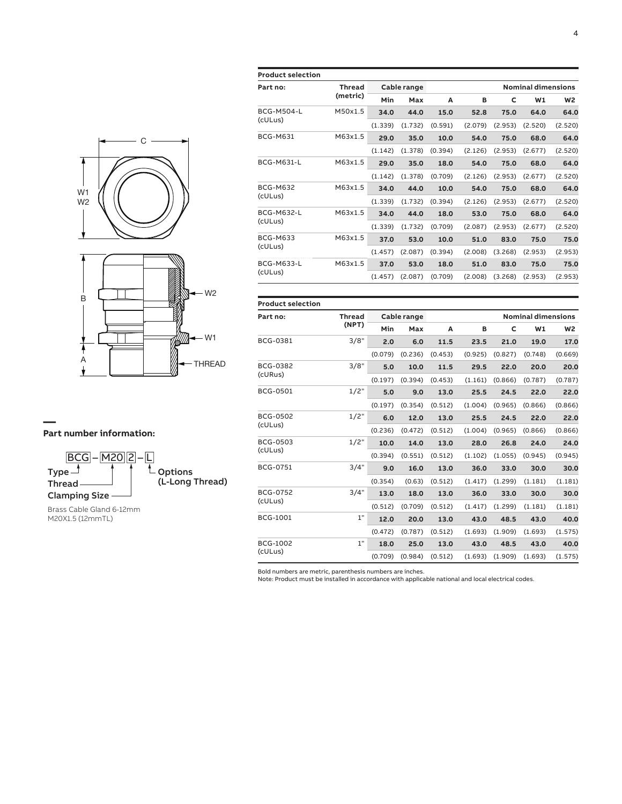



Brass Cable Gland 6-12mm M20X1.5 (12mmTL)

| <b>Product selection</b> |                    |             |         |         |         |         |                           |                |
|--------------------------|--------------------|-------------|---------|---------|---------|---------|---------------------------|----------------|
| Part no:                 | Thread<br>(metric) | Cable range |         |         |         |         | <b>Nominal dimensions</b> |                |
|                          |                    | Min         | Max     | A       | в       | C       | W1                        | W <sub>2</sub> |
| <b>BCG-M504-L</b>        | M50x1.5            | 34.0        | 44.0    | 15.0    | 52.8    | 75.0    | 64.0                      | 64.0           |
| (cULus)                  |                    | (1.339)     | (1.732) | (0.591) | (2.079) | (2.953) | (2.520)                   | (2.520)        |
| <b>BCG-M631</b>          | M63x1.5            | 29.0        | 35.0    | 10.0    | 54.0    | 75.0    | 68.0                      | 64.0           |
|                          |                    | (1.142)     | (1.378) | (0.394) | (2.126) | (2.953) | (2.677)                   | (2.520)        |
| <b>BCG-M631-L</b>        | M63x1.5            | 29.0        | 35.0    | 18.0    | 54.0    | 75.0    | 68.0                      | 64.0           |
|                          |                    | (1.142)     | (1.378) | (0.709) | (2.126) | (2.953) | (2.677)                   | (2.520)        |
| <b>BCG-M632</b>          | M63x1.5            | 34.0        | 44.0    | 10.0    | 54.0    | 75.0    | 68.0                      | 64.0           |
| (cULus)                  |                    | (1.339)     | (1.732) | (0.394) | (2.126) | (2.953) | (2.677)                   | (2.520)        |
| <b>BCG-M632-L</b>        | M63x1.5            | 34.0        | 44.0    | 18.0    | 53.0    | 75.0    | 68.0                      | 64.0           |
| (cULus)                  |                    | (1.339)     | (1.732) | (0.709) | (2.087) | (2.953) | (2.677)                   | (2.520)        |
| <b>BCG-M633</b>          | M63x1.5            | 37.0        | 53.0    | 10.0    | 51.0    | 83.0    | 75.0                      | 75.0           |
| (cULus)                  |                    | (1.457)     | (2.087) | (0.394) | (2.008) | (3.268) | (2.953)                   | (2.953)        |
| <b>BCG-M633-L</b>        | M63x1.5            | 37.0        | 53.0    | 18.0    | 51.0    | 83.0    | 75.0                      | 75.0           |
| (cULus)                  |                    | (1.457)     | (2.087) | (0.709) | (2.008) | (3.268) | (2.953)                   | (2.953)        |

| <b>Product selection</b> |               |             |         |         |         |                           |         |                |  |
|--------------------------|---------------|-------------|---------|---------|---------|---------------------------|---------|----------------|--|
| Part no:                 | <b>Thread</b> | Cable range |         |         |         | <b>Nominal dimensions</b> |         |                |  |
|                          | (NPT)         | Min         | Max     | A       | в       | C                         | W1      | W <sub>2</sub> |  |
| <b>BCG-0381</b>          | 3/8"          | 2.0         | 6.0     | 11.5    | 23.5    | 21.0                      | 19.0    | 17.0           |  |
|                          |               | (0.079)     | (0.236) | (0.453) | (0.925) | (0.827)                   | (0.748) | (0.669)        |  |
| BCG-0382                 | 3/8"          | 5.0         | 10.0    | 11.5    | 29.5    | 22.0                      | 20.0    | 20.0           |  |
| (cURus)                  |               | (0.197)     | (0.394) | (0.453) | (1.161) | (0.866)                   | (0.787) | (0.787)        |  |
| <b>BCG-0501</b>          | 1/2"          | 5.0         | 9.0     | 13.0    | 25.5    | 24.5                      | 22.0    | 22.0           |  |
|                          |               | (0.197)     | (0.354) | (0.512) | (1.004) | (0.965)                   | (0.866) | (0.866)        |  |
| BCG-0502                 | 1/2"          | 6.0         | 12.0    | 13.0    | 25.5    | 24.5                      | 22.0    | 22.0           |  |
| (cULus)                  |               | (0.236)     | (0.472) | (0.512) | (1.004) | (0.965)                   | (0.866) | (0.866)        |  |
| <b>BCG-0503</b>          | 1/2"          | 10.0        | 14.0    | 13.0    | 28.0    | 26.8                      | 24.0    | 24.0           |  |
| (cULus)                  |               | (0.394)     | (0.551) | (0.512) | (1.102) | (1.055)                   | (0.945) | (0.945)        |  |
| <b>BCG-0751</b>          | 3/4"          | 9.0         | 16.0    | 13.0    | 36.0    | 33.0                      | 30.0    | 30.0           |  |
|                          |               | (0.354)     | (0.63)  | (0.512) | (1.417) | (1.299)                   | (1.181) | (1.181)        |  |
| <b>BCG-0752</b>          | 3/4"          | 13.0        | 18.0    | 13.0    | 36.0    | 33.0                      | 30.0    | 30.0           |  |
| (cULus)                  |               | (0.512)     | (0.709) | (0.512) | (1.417) | (1.299)                   | (1.181) | (1.181)        |  |
| <b>BCG-1001</b>          | 1"            | 12.0        | 20.0    | 13.0    | 43.0    | 48.5                      | 43.0    | 40.0           |  |
|                          |               | (0.472)     | (0.787) | (0.512) | (1.693) | (1.909)                   | (1.693) | (1.575)        |  |
| <b>BCG-1002</b>          | 1"            | 18.0        | 25.0    | 13.0    | 43.0    | 48.5                      | 43.0    | 40.0           |  |
| (cULus)                  |               | (0.709)     | (0.984) | (0.512) |         | $(1.693)$ $(1.909)$       | (1.693) | (1.575)        |  |

Bold numbers are metric, parenthesis numbers are inches. Note: Product must be installed in accordance with applicable national and local electrical codes.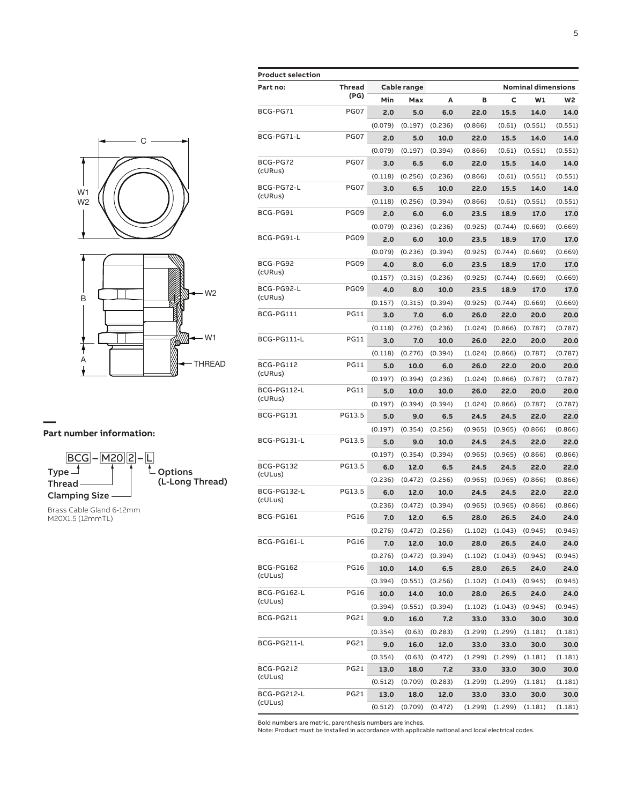



Brass Cable Gland 6-12mm M20X1.5 (12mmTL)

| <b>Product selection</b> |                  |             |         |         |         |         |                           |         |
|--------------------------|------------------|-------------|---------|---------|---------|---------|---------------------------|---------|
| Part no:                 | Thread           | Cable range |         |         |         |         | <b>Nominal dimensions</b> |         |
|                          | (PG)             | Min         | Max     | A       | B       | c       | W1                        | W2      |
| BCG-PG71                 | PG07             | 2.0         | 5.0     | 6.0     | 22.0    | 15.5    | 14.0                      | 14.0    |
|                          |                  | (0.079)     | (0.197) | (0.236) | (0.866) | (0.61)  | (0.551)                   | (0.551) |
| BCG-PG71-L               | PG07             | 2.0         | 5.0     | 10.0    | 22.0    | 15.5    | 14.0                      | 14.0    |
|                          |                  | (0.079)     | (0.197) | (0.394) | (0.866) | (0.61)  | (0.551)                   | (0.551) |
| BCG-PG72                 | PG07             | 3.0         | 6.5     | 6.0     | 22.0    | 15.5    | 14.0                      | 14.0    |
| (cURus)                  |                  | (0.118)     | (0.256) | (0.236) | (0.866) | (0.61)  | (0.551)                   | (0.551) |
| BCG-PG72-L               | PG07             | 3.0         | 6.5     | 10.0    | 22.0    | 15.5    | 14.0                      | 14.0    |
| (cURus)                  |                  | (0.118)     | (0.256) | (0.394) | (0.866) | (0.61)  | (0.551)                   | (0.551) |
| BCG-PG91                 | PG09             | 2.0         | 6.0     | 6.0     | 23.5    | 18.9    | 17.0                      | 17.0    |
|                          |                  | (0.079)     | (0.236) | (0.236) | (0.925) | (0.744) | (0.669)                   | (0.669) |
| BCG-PG91-L               | PG <sub>09</sub> | 2.0         | 6.0     | 10.0    | 23.5    | 18.9    | 17.0                      | 17.0    |
|                          |                  | (0.079)     | (0.236) | (0.394) | (0.925) | (0.744) | (0.669)                   | (0.669) |
| BCG-PG92                 | <b>PG09</b>      | 4.0         | 8.0     | 6.0     | 23.5    | 18.9    | 17.0                      | 17.0    |
| (cURus)                  |                  | (0.157)     | (0.315) | (0.236) | (0.925) | (0.744) | (0.669)                   | (0.669) |
| BCG-PG92-L               | <b>PG09</b>      | 4.0         | 8.0     | 10.0    | 23.5    | 18.9    | 17.0                      | 17.0    |
| (cURus)                  |                  | (0.157)     | (0.315) | (0.394) | (0.925) | (0.744) | (0.669)                   | (0.669) |
| BCG-PG111                | <b>PG11</b>      | 3.0         | 7.0     | 6.0     | 26.0    | 22.0    | 20.0                      | 20.0    |
|                          |                  | (0.118)     | (0.276) | (0.236) | (1.024) | (0.866) | (0.787)                   | (0.787) |
| BCG-PG111-L              | <b>PG11</b>      | 3.0         | 7.0     | 10.0    | 26.0    | 22.0    | 20.0                      | 20.0    |
|                          |                  | (0.118)     | (0.276) | (0.394) | (1.024) | (0.866) | (0.787)                   | (0.787) |
| BCG-PG112<br>(cURus)     | <b>PG11</b>      | 5.0         | 10.0    | 6.0     | 26.0    | 22.0    | 20.0                      | 20.0    |
|                          |                  | (0.197)     | (0.394) | (0.236) | (1.024) | (0.866) | (0.787)                   | (0.787) |
| BCG-PG112-L<br>(cURus)   | <b>PG11</b>      | 5.0         | 10.0    | 10.0    | 26.0    | 22.0    | 20.0                      | 20.0    |
|                          |                  | (0.197)     | (0.394) | (0.394) | (1.024) | (0.866) | (0.787)                   | (0.787) |
| BCG-PG131                | PG13.5           | 5.0         | 9.0     | 6.5     | 24.5    | 24.5    | 22.0                      | 22.0    |
|                          |                  | (0.197)     | (0.354) | (0.256) | (0.965) | (0.965) | (0.866)                   | (0.866) |
| BCG-PG131-L              | PG13.5           | 5.0         | 9.0     | 10.0    | 24.5    | 24.5    | 22.0                      | 22.0    |
|                          |                  | (0.197)     | (0.354) | (0.394) | (0.965) | (0.965) | (0.866)                   | (0.866) |
| BCG-PG132                | PG13.5           | 6.0         | 12.0    | 6.5     | 24.5    | 24.5    | 22.0                      | 22.0    |
| (cULus)                  |                  | (0.236)     | (0.472) | (0.256) | (0.965) | (0.965) | (0.866)                   | (0.866) |
| BCG-PG132-L              | PG13.5           | 6.0         | 12.0    | 10.0    | 24.5    | 24.5    | 22.0                      | 22.0    |
| (cULus)                  |                  | (0.236)     | (0.472) | (0.394) | (0.965) | (0.965) | (0.866)                   | (0.866) |
| BCG-PG161                | <b>PG16</b>      | 7.0         | 12.0    | 6.5     | 28.0    | 26.5    | 24.0                      | 24.0    |
|                          |                  | (0.276)     | (0.472) | (0.256) | (1.102) | (1.043) | (0.945)                   | (0.945) |
| BCG-PG161-L              | <b>PG16</b>      | 7.0         | 12.0    | 10.0    | 28.0    | 26.5    | 24.0                      | 24.0    |
|                          |                  | (0.276)     | (0.472) | (0.394) | (1.102) | (1.043) | (0.945)                   | (0.945) |
| BCG-PG162                | PG16             | 10.0        | 14.0    | 6.5     | 28.0    | 26.5    | 24.0                      | 24.0    |
| (cULus)                  |                  | (0.394)     | (0.551) | (0.256) | (1.102) | (1.043) | (0.945)                   | (0.945) |
| BCG-PG162-L              | <b>PG16</b>      | 10.0        | 14.0    | 10.0    | 28.0    | 26.5    | 24.0                      | 24.0    |
| (cULus)                  |                  | (0.394)     | (0.551) | (0.394) | (1.102) | (1.043) | (0.945)                   | (0.945) |
| BCG-PG211                | PG21             | 9.0         | 16.0    | 7.2     | 33.0    | 33.0    | 30.0                      | 30.0    |
|                          |                  | (0.354)     | (0.63)  | (0.283) | (1.299) | (1.299) | (1.181)                   | (1.181) |
| BCG-PG211-L              | PG21             | 9.0         | 16.0    | 12.0    | 33.0    | 33.0    | 30.0                      | 30.0    |
|                          |                  | (0.354)     | (0.63)  | (0.472) | (1.299) | (1.299) | (1.181)                   | (1.181) |
| BCG-PG212                | PG21             | 13.0        | 18.0    | 7.2     | 33.0    | 33.0    | 30.0                      | 30.0    |
| (cULus)                  |                  | (0.512)     | (0.709) | (0.283) | (1.299) | (1.299) | (1.181)                   | (1.181) |
| BCG-PG212-L              | PG21             | 13.0        | 18.0    | 12.0    | 33.0    | 33.0    | 30.0                      | 30.0    |
| (cULus)                  |                  | (0.512)     | (0.709) | (0.472) | (1.299) | (1.299) | (1.181)                   | (1.181) |

Bold numbers are metric, parenthesis numbers are inches.

Note: Product must be installed in accordance with applicable national and local electrical codes.